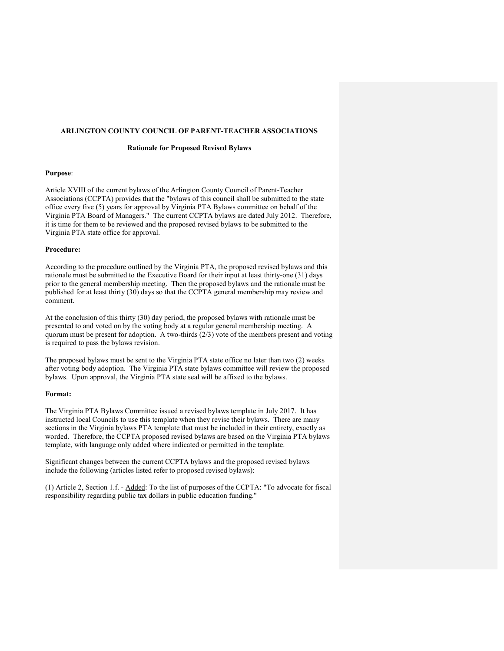# ARLINGTON COUNTY COUNCIL OF PARENT-TEACHER ASSOCIATIONS

## Rationale for Proposed Revised Bylaws

#### Purpose:

Article XVIII of the current bylaws of the Arlington County Council of Parent-Teacher Associations (CCPTA) provides that the "bylaws of this council shall be submitted to the state office every five (5) years for approval by Virginia PTA Bylaws committee on behalf of the Virginia PTA Board of Managers." The current CCPTA bylaws are dated July 2012. Therefore, it is time for them to be reviewed and the proposed revised bylaws to be submitted to the Virginia PTA state office for approval.

### Procedure:

According to the procedure outlined by the Virginia PTA, the proposed revised bylaws and this rationale must be submitted to the Executive Board for their input at least thirty-one (31) days prior to the general membership meeting. Then the proposed bylaws and the rationale must be published for at least thirty (30) days so that the CCPTA general membership may review and comment.

At the conclusion of this thirty (30) day period, the proposed bylaws with rationale must be presented to and voted on by the voting body at a regular general membership meeting. A quorum must be present for adoption. A two-thirds  $(2/3)$  vote of the members present and voting is required to pass the bylaws revision.

The proposed bylaws must be sent to the Virginia PTA state office no later than two (2) weeks after voting body adoption. The Virginia PTA state bylaws committee will review the proposed bylaws. Upon approval, the Virginia PTA state seal will be affixed to the bylaws.

#### Format:

The Virginia PTA Bylaws Committee issued a revised bylaws template in July 2017. It has instructed local Councils to use this template when they revise their bylaws. There are many sections in the Virginia bylaws PTA template that must be included in their entirety, exactly as worded. Therefore, the CCPTA proposed revised bylaws are based on the Virginia PTA bylaws template, with language only added where indicated or permitted in the template.

Significant changes between the current CCPTA bylaws and the proposed revised bylaws include the following (articles listed refer to proposed revised bylaws):

(1) Article 2, Section 1.f. - Added: To the list of purposes of the CCPTA: "To advocate for fiscal responsibility regarding public tax dollars in public education funding."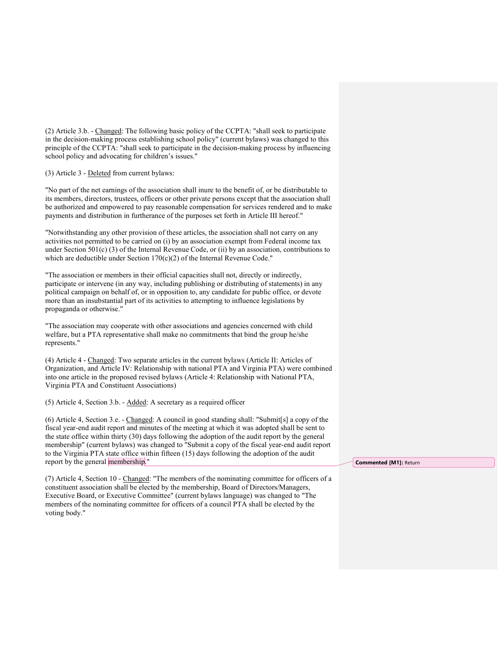(2) Article 3.b. - Changed: The following basic policy of the CCPTA: "shall seek to participate in the decision-making process establishing school policy" (current bylaws) was changed to this principle of the CCPTA: "shall seek to participate in the decision-making process by influencing school policy and advocating for children's issues."

(3) Article 3 - Deleted from current bylaws:

"No part of the net earnings of the association shall inure to the benefit of, or be distributable to its members, directors, trustees, officers or other private persons except that the association shall be authorized and empowered to pay reasonable compensation for services rendered and to make payments and distribution in furtherance of the purposes set forth in Article III hereof."

"Notwithstanding any other provision of these articles, the association shall not carry on any activities not permitted to be carried on (i) by an association exempt from Federal income tax under Section  $501(c)$  (3) of the Internal Revenue Code, or (ii) by an association, contributions to which are deductible under Section 170(c)(2) of the Internal Revenue Code."

"The association or members in their official capacities shall not, directly or indirectly, participate or intervene (in any way, including publishing or distributing of statements) in any political campaign on behalf of, or in opposition to, any candidate for public office, or devote more than an insubstantial part of its activities to attempting to influence legislations by propaganda or otherwise."

"The association may cooperate with other associations and agencies concerned with child welfare, but a PTA representative shall make no commitments that bind the group he/she represents."

(4) Article 4 - Changed: Two separate articles in the current bylaws (Article II: Articles of Organization, and Article IV: Relationship with national PTA and Virginia PTA) were combined into one article in the proposed revised bylaws (Article 4: Relationship with National PTA, Virginia PTA and Constituent Associations)

(5) Article 4, Section 3.b. - Added: A secretary as a required officer

(6) Article 4, Section 3.e. - Changed: A council in good standing shall: "Submit[s] a copy of the fiscal year-end audit report and minutes of the meeting at which it was adopted shall be sent to the state office within thirty (30) days following the adoption of the audit report by the general membership" (current bylaws) was changed to "Submit a copy of the fiscal year-end audit report to the Virginia PTA state office within fifteen (15) days following the adoption of the audit report by the general membership."

(7) Article 4, Section 10 - Changed: "The members of the nominating committee for officers of a constituent association shall be elected by the membership, Board of Directors/Managers, Executive Board, or Executive Committee" (current bylaws language) was changed to "The members of the nominating committee for officers of a council PTA shall be elected by the voting body."

Commented [M1]: Return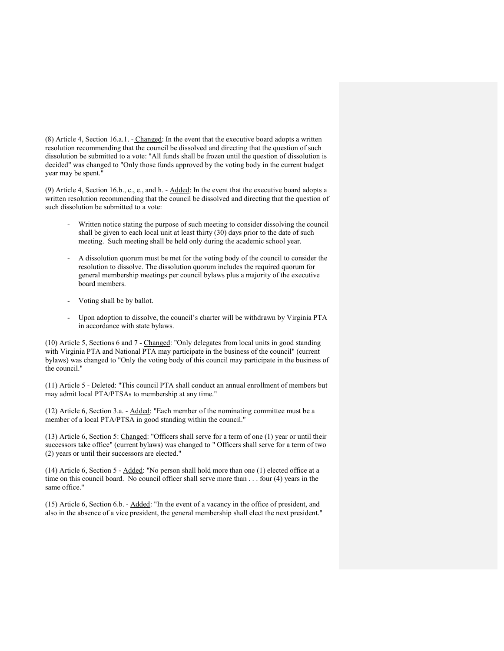(8) Article 4, Section 16.a.1. - Changed: In the event that the executive board adopts a written resolution recommending that the council be dissolved and directing that the question of such dissolution be submitted to a vote: "All funds shall be frozen until the question of dissolution is decided" was changed to "Only those funds approved by the voting body in the current budget year may be spent."

(9) Article 4, Section 16.b., c., e., and h. - Added: In the event that the executive board adopts a written resolution recommending that the council be dissolved and directing that the question of such dissolution be submitted to a vote:

- Written notice stating the purpose of such meeting to consider dissolving the council shall be given to each local unit at least thirty (30) days prior to the date of such meeting. Such meeting shall be held only during the academic school year.
- A dissolution quorum must be met for the voting body of the council to consider the resolution to dissolve. The dissolution quorum includes the required quorum for general membership meetings per council bylaws plus a majority of the executive board members.
- Voting shall be by ballot.
- Upon adoption to dissolve, the council's charter will be withdrawn by Virginia PTA in accordance with state bylaws.

(10) Article 5, Sections 6 and 7 - Changed: "Only delegates from local units in good standing with Virginia PTA and National PTA may participate in the business of the council" (current bylaws) was changed to "Only the voting body of this council may participate in the business of the council."

(11) Article 5 - Deleted: "This council PTA shall conduct an annual enrollment of members but may admit local PTA/PTSAs to membership at any time."

(12) Article 6, Section 3.a. - Added: "Each member of the nominating committee must be a member of a local PTA/PTSA in good standing within the council."

(13) Article 6, Section 5: Changed: "Officers shall serve for a term of one (1) year or until their successors take office" (current bylaws) was changed to " Officers shall serve for a term of two (2) years or until their successors are elected."

(14) Article 6, Section 5 - Added: "No person shall hold more than one (1) elected office at a time on this council board. No council officer shall serve more than . . . four (4) years in the same office."

(15) Article 6, Section 6.b. - Added: "In the event of a vacancy in the office of president, and also in the absence of a vice president, the general membership shall elect the next president."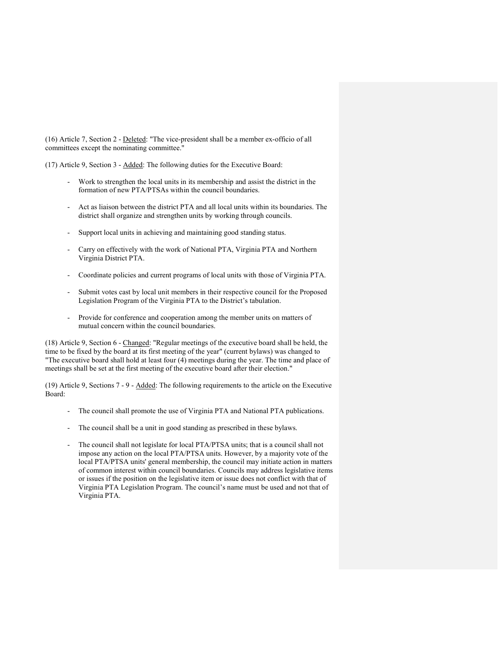(16) Article 7, Section 2 - Deleted: "The vice-president shall be a member ex-officio of all committees except the nominating committee."

(17) Article 9, Section 3 - Added: The following duties for the Executive Board:

- Work to strengthen the local units in its membership and assist the district in the formation of new PTA/PTSAs within the council boundaries.
- Act as liaison between the district PTA and all local units within its boundaries. The district shall organize and strengthen units by working through councils.
- Support local units in achieving and maintaining good standing status.
- Carry on effectively with the work of National PTA, Virginia PTA and Northern Virginia District PTA.
- Coordinate policies and current programs of local units with those of Virginia PTA.
- Submit votes cast by local unit members in their respective council for the Proposed Legislation Program of the Virginia PTA to the District's tabulation.
- Provide for conference and cooperation among the member units on matters of mutual concern within the council boundaries.

(18) Article 9, Section 6 - Changed: "Regular meetings of the executive board shall be held, the time to be fixed by the board at its first meeting of the year" (current bylaws) was changed to "The executive board shall hold at least four (4) meetings during the year. The time and place of meetings shall be set at the first meeting of the executive board after their election."

(19) Article 9, Sections 7 - 9 - Added: The following requirements to the article on the Executive Board:

- The council shall promote the use of Virginia PTA and National PTA publications.
- The council shall be a unit in good standing as prescribed in these bylaws.
- The council shall not legislate for local PTA/PTSA units; that is a council shall not impose any action on the local PTA/PTSA units. However, by a majority vote of the local PTA/PTSA units' general membership, the council may initiate action in matters of common interest within council boundaries. Councils may address legislative items or issues if the position on the legislative item or issue does not conflict with that of Virginia PTA Legislation Program. The council's name must be used and not that of Virginia PTA.